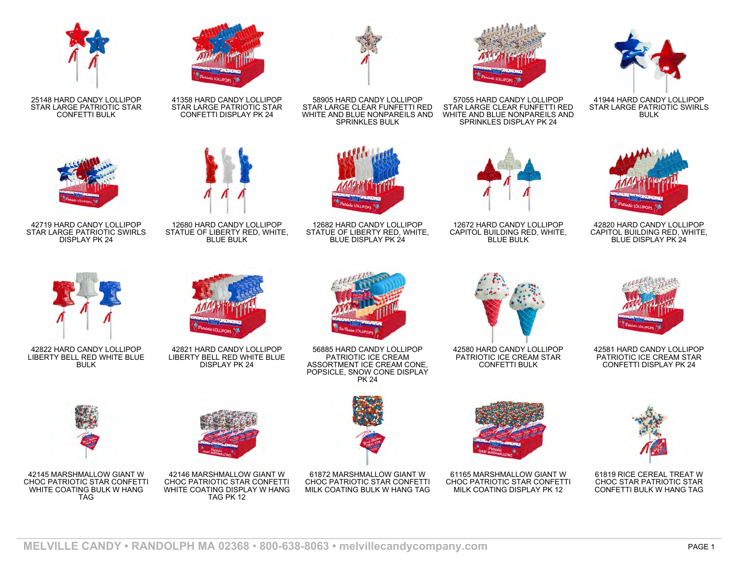

25148 HARD CANDY LOLLIPOP STAR LARGE PATRIOTIC STAR CONFETTI BULK



41358 HARD CANDY LOLLIPOP STAR LARGE PATRIOTIC STAR CONFETTI DISPLAY PK 24



58905 HARD CANDY LOLLIPOP STAR LARGE CLEAR FUNFETTI RED WHITE AND BLUE NONPAREILS AND SPRINKLES BULK



57055 HARD CANDY LOLLIPOP STAR LARGE CLEAR FUNFETTI RED WHITE AND BLUE NONPAREILS AND SPRINKLES DISPLAY PK 24



41944 HARD CANDY LOLLIPOP STAR LARGE PATRIOTIC SWIRLS BULK



42820 HARD CANDY LOLLIPOP CAPITOL BUILDING RED, WHITE, BLUE DISPLAY PK 24



42719 HARD CANDY LOLLIPOP STAR LARGE PATRIOTIC SWIRLS DISPLAY PK 24



12680 HARD CANDY LOLLIPOP STATUE OF LIBERTY RED, WHITE, BLUE BULK



12682 HARD CANDY LOLLIPOP STATUE OF LIBERTY RED, WHITE, BLUE DISPLAY PK 24



12672 HARD CANDY LOLLIPOP CAPITOL BUILDING RED, WHITE, BLUE BULK



42822 HARD CANDY LOLLIPOP LIBERTY BELL RED WHITE BLUE BULK



42821 HARD CANDY LOLLIPOP LIBERTY BELL RED WHITE BLUE DISPLAY PK 24



56885 HARD CANDY LOLLIPOP PATRIOTIC ICE CREAM ASSORTMENT ICE CREAM CONE, POPSICLE, SNOW CONE DISPLAY PK 24



42580 HARD CANDY LOLLIPOP PATRIOTIC ICE CREAM STAR CONFETTI BULK



42581 HARD CANDY LOLLIPOP PATRIOTIC ICE CREAM STAR CONFETTI DISPLAY PK 24



42145 MARSHMALLOW GIANT W CHOC PATRIOTIC STAR CONFETTI WHITE COATING BULK W HANG TAG



42146 MARSHMALLOW GIANT W CHOC PATRIOTIC STAR CONFETTI WHITE COATING DISPLAY W HANG TAG PK 12





61165 MARSHMALLOW GIANT W CHOC PATRIOTIC STAR CONFETTI MILK COATING DISPLAY PK 12



61819 RICE CEREAL TREAT W CHOC STAR PATRIOTIC STAR CONFETTI BULK W HANG TAG